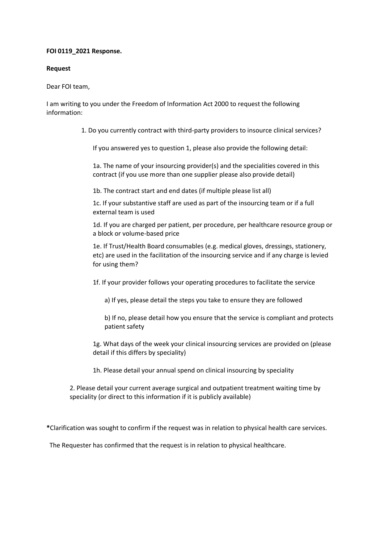## **FOI 0119\_2021 Response.**

## **Request**

## Dear FOI team,

I am writing to you under the Freedom of Information Act 2000 to request the following information:

1. Do you currently contract with third-party providers to insource clinical services?

If you answered yes to question 1, please also provide the following detail:

1a. The name of your insourcing provider(s) and the specialities covered in this contract (if you use more than one supplier please also provide detail)

1b. The contract start and end dates (if multiple please list all)

1c. If your substantive staff are used as part of the insourcing team or if a full external team is used

1d. If you are charged per patient, per procedure, per healthcare resource group or a block or volume-based price

1e. If Trust/Health Board consumables (e.g. medical gloves, dressings, stationery, etc) are used in the facilitation of the insourcing service and if any charge is levied for using them?

1f. If your provider follows your operating procedures to facilitate the service

a) If yes, please detail the steps you take to ensure they are followed

b) If no, please detail how you ensure that the service is compliant and protects patient safety

1g. What days of the week your clinical insourcing services are provided on (please detail if this differs by speciality)

1h. Please detail your annual spend on clinical insourcing by speciality

2. Please detail your current average surgical and outpatient treatment waiting time by speciality (or direct to this information if it is publicly available)

**\***Clarification was sought to confirm if the request was in relation to physical health care services.

The Requester has confirmed that the request is in relation to physical healthcare.